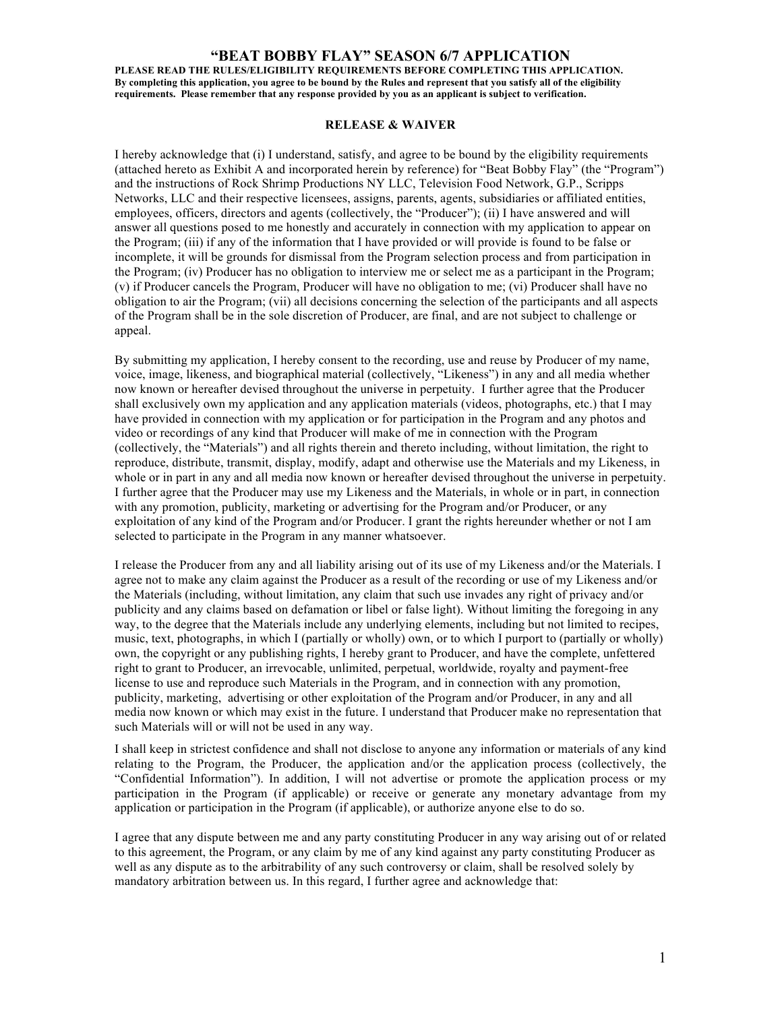## **"BEAT BOBBY FLAY" SEASON 6/7 APPLICATION**

**PLEASE READ THE RULES/ELIGIBILITY REQUIREMENTS BEFORE COMPLETING THIS APPLICATION. By completing this application, you agree to be bound by the Rules and represent that you satisfy all of the eligibility requirements. Please remember that any response provided by you as an applicant is subject to verification.**

## **RELEASE & WAIVER**

I hereby acknowledge that (i) I understand, satisfy, and agree to be bound by the eligibility requirements (attached hereto as Exhibit A and incorporated herein by reference) for "Beat Bobby Flay" (the "Program") and the instructions of Rock Shrimp Productions NY LLC, Television Food Network, G.P., Scripps Networks, LLC and their respective licensees, assigns, parents, agents, subsidiaries or affiliated entities, employees, officers, directors and agents (collectively, the "Producer"); (ii) I have answered and will answer all questions posed to me honestly and accurately in connection with my application to appear on the Program; (iii) if any of the information that I have provided or will provide is found to be false or incomplete, it will be grounds for dismissal from the Program selection process and from participation in the Program; (iv) Producer has no obligation to interview me or select me as a participant in the Program; (v) if Producer cancels the Program, Producer will have no obligation to me; (vi) Producer shall have no obligation to air the Program; (vii) all decisions concerning the selection of the participants and all aspects of the Program shall be in the sole discretion of Producer, are final, and are not subject to challenge or appeal.

By submitting my application, I hereby consent to the recording, use and reuse by Producer of my name, voice, image, likeness, and biographical material (collectively, "Likeness") in any and all media whether now known or hereafter devised throughout the universe in perpetuity. I further agree that the Producer shall exclusively own my application and any application materials (videos, photographs, etc.) that I may have provided in connection with my application or for participation in the Program and any photos and video or recordings of any kind that Producer will make of me in connection with the Program (collectively, the "Materials") and all rights therein and thereto including, without limitation, the right to reproduce, distribute, transmit, display, modify, adapt and otherwise use the Materials and my Likeness, in whole or in part in any and all media now known or hereafter devised throughout the universe in perpetuity. I further agree that the Producer may use my Likeness and the Materials, in whole or in part, in connection with any promotion, publicity, marketing or advertising for the Program and/or Producer, or any exploitation of any kind of the Program and/or Producer. I grant the rights hereunder whether or not I am selected to participate in the Program in any manner whatsoever.

I release the Producer from any and all liability arising out of its use of my Likeness and/or the Materials. I agree not to make any claim against the Producer as a result of the recording or use of my Likeness and/or the Materials (including, without limitation, any claim that such use invades any right of privacy and/or publicity and any claims based on defamation or libel or false light). Without limiting the foregoing in any way, to the degree that the Materials include any underlying elements, including but not limited to recipes, music, text, photographs, in which I (partially or wholly) own, or to which I purport to (partially or wholly) own, the copyright or any publishing rights, I hereby grant to Producer, and have the complete, unfettered right to grant to Producer, an irrevocable, unlimited, perpetual, worldwide, royalty and payment-free license to use and reproduce such Materials in the Program, and in connection with any promotion, publicity, marketing, advertising or other exploitation of the Program and/or Producer, in any and all media now known or which may exist in the future. I understand that Producer make no representation that such Materials will or will not be used in any way.

I shall keep in strictest confidence and shall not disclose to anyone any information or materials of any kind relating to the Program, the Producer, the application and/or the application process (collectively, the "Confidential Information"). In addition, I will not advertise or promote the application process or my participation in the Program (if applicable) or receive or generate any monetary advantage from my application or participation in the Program (if applicable), or authorize anyone else to do so.

I agree that any dispute between me and any party constituting Producer in any way arising out of or related to this agreement, the Program, or any claim by me of any kind against any party constituting Producer as well as any dispute as to the arbitrability of any such controversy or claim, shall be resolved solely by mandatory arbitration between us. In this regard, I further agree and acknowledge that: